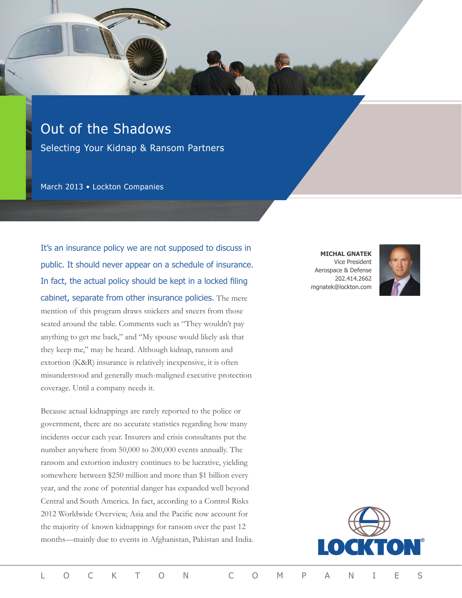# Out of the Shadows

Selecting Your Kidnap & Ransom Partners

March 2013 • Lockton Companies

It's an insurance policy we are not supposed to discuss in public. It should never appear on a schedule of insurance. In fact, the actual policy should be kept in a locked filing cabinet, separate from other insurance policies. The mere mention of this program draws snickers and sneers from those seated around the table. Comments such as "They wouldn't pay anything to get me back," and "My spouse would likely ask that they keep me," may be heard. Although kidnap, ransom and extortion (K&R) insurance is relatively inexpensive, it is often misunderstood and generally much-maligned executive protection coverage. Until a company needs it.

Because actual kidnappings are rarely reported to the police or government, there are no accurate statistics regarding how many incidents occur each year. Insurers and crisis consultants put the number anywhere from 50,000 to 200,000 events annually. The ransom and extortion industry continues to be lucrative, yielding somewhere between \$250 million and more than \$1 billion every year, and the zone of potential danger has expanded well beyond Central and South America. In fact, according to a Control Risks 2012 Worldwide Overview, Asia and the Pacific now account for the majority of known kidnappings for ransom over the past 12 months—mainly due to events in Afghanistan, Pakistan and India.

**MICHAL GNATEK** Vice President Aerospace & Defense 202.414.2662 mgnatek@lockton.com



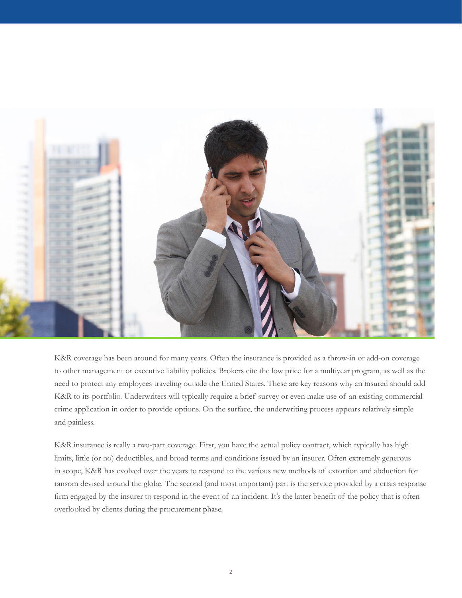

K&R coverage has been around for many years. Often the insurance is provided as a throw-in or add-on coverage to other management or executive liability policies. Brokers cite the low price for a multiyear program, as well as the need to protect any employees traveling outside the United States. These are key reasons why an insured should add K&R to its portfolio. Underwriters will typically require a brief survey or even make use of an existing commercial crime application in order to provide options. On the surface, the underwriting process appears relatively simple and painless.

K&R insurance is really a two-part coverage. First, you have the actual policy contract, which typically has high limits, little (or no) deductibles, and broad terms and conditions issued by an insurer. Often extremely generous in scope, K&R has evolved over the years to respond to the various new methods of extortion and abduction for ransom devised around the globe. The second (and most important) part is the service provided by a crisis response firm engaged by the insurer to respond in the event of an incident. It's the latter benefit of the policy that is often overlooked by clients during the procurement phase.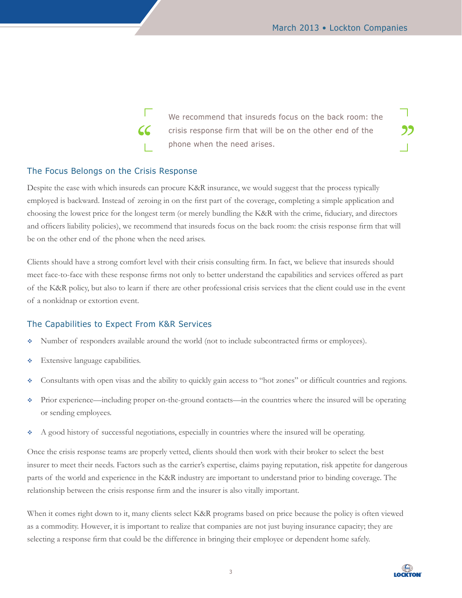59

Г We recommend that insureds focus on the back room: the  $cc$ crisis response firm that will be on the other end of the phone when the need arises.

#### The Focus Belongs on the Crisis Response

Despite the ease with which insureds can procure K&R insurance, we would suggest that the process typically employed is backward. Instead of zeroing in on the first part of the coverage, completing a simple application and choosing the lowest price for the longest term (or merely bundling the K&R with the crime, fiduciary, and directors and officers liability policies), we recommend that insureds focus on the back room: the crisis response firm that will be on the other end of the phone when the need arises.

Clients should have a strong comfort level with their crisis consulting firm. In fact, we believe that insureds should meet face-to-face with these response firms not only to better understand the capabilities and services offered as part of the K&R policy, but also to learn if there are other professional crisis services that the client could use in the event of a nonkidnap or extortion event.

#### The Capabilities to Expect From K&R Services

- Number of responders available around the world (not to include subcontracted firms or employees).
- **Extensive language capabilities.**
- Consultants with open visas and the ability to quickly gain access to "hot zones" or difficult countries and regions.
- Prior experience—including proper on-the-ground contacts—in the countries where the insured will be operating or sending employees.
- A good history of successful negotiations, especially in countries where the insured will be operating.

Once the crisis response teams are properly vetted, clients should then work with their broker to select the best insurer to meet their needs. Factors such as the carrier's expertise, claims paying reputation, risk appetite for dangerous parts of the world and experience in the K&R industry are important to understand prior to binding coverage. The relationship between the crisis response firm and the insurer is also vitally important.

When it comes right down to it, many clients select K&R programs based on price because the policy is often viewed as a commodity. However, it is important to realize that companies are not just buying insurance capacity; they are selecting a response firm that could be the difference in bringing their employee or dependent home safely.